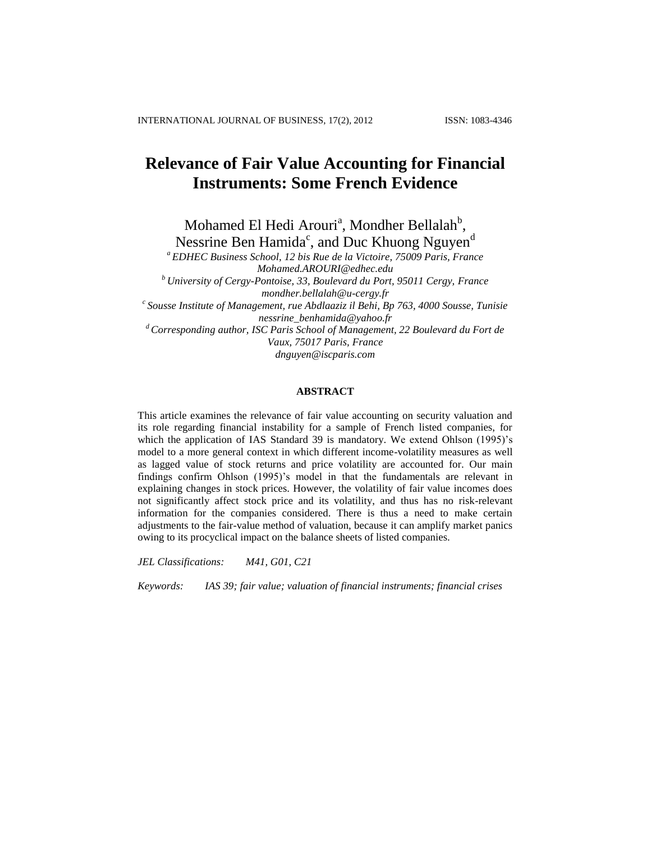# **Relevance of Fair Value Accounting for Financial Instruments: Some French Evidence**

Mohamed El Hedi Arouri<sup>a</sup>, Mondher Bellalah<sup>b</sup>, Nessrine Ben Hamida $\degree$ , and Duc Khuong Nguyen $\degree$ 

*<sup>a</sup> EDHEC Business School, 12 bis Rue de la Victoire, 75009 Paris, France [Mohamed.AROURI@edhec.edu](mailto:Mohamed.AROURI@edhec.edu)*

*<sup>b</sup> University of Cergy-Pontoise, 33, Boulevard du Port, 95011 Cergy, France mondher.bellalah@u-cergy.fr*

*c Sousse Institute of Management, rue Abdlaaziz il Behi, Bp 763, 4000 Sousse, Tunisie nessrine\_benhamida@yahoo.fr*

*<sup>d</sup> Corresponding author, ISC Paris School of Management, 22 Boulevard du Fort de Vaux, 75017 Paris, France dnguyen@iscparis.com*

#### **ABSTRACT**

This article examines the relevance of fair value accounting on security valuation and its role regarding financial instability for a sample of French listed companies, for which the application of IAS Standard 39 is mandatory. We extend Ohlson (1995)'s model to a more general context in which different income-volatility measures as well as lagged value of stock returns and price volatility are accounted for. Our main findings confirm Ohlson (1995)'s model in that the fundamentals are relevant in explaining changes in stock prices. However, the volatility of fair value incomes does not significantly affect stock price and its volatility, and thus has no risk-relevant information for the companies considered. There is thus a need to make certain adjustments to the fair-value method of valuation, because it can amplify market panics owing to its procyclical impact on the balance sheets of listed companies.

*JEL Classifications: M41, G01, C21*

*Keywords: IAS 39; fair value; valuation of financial instruments; financial crises*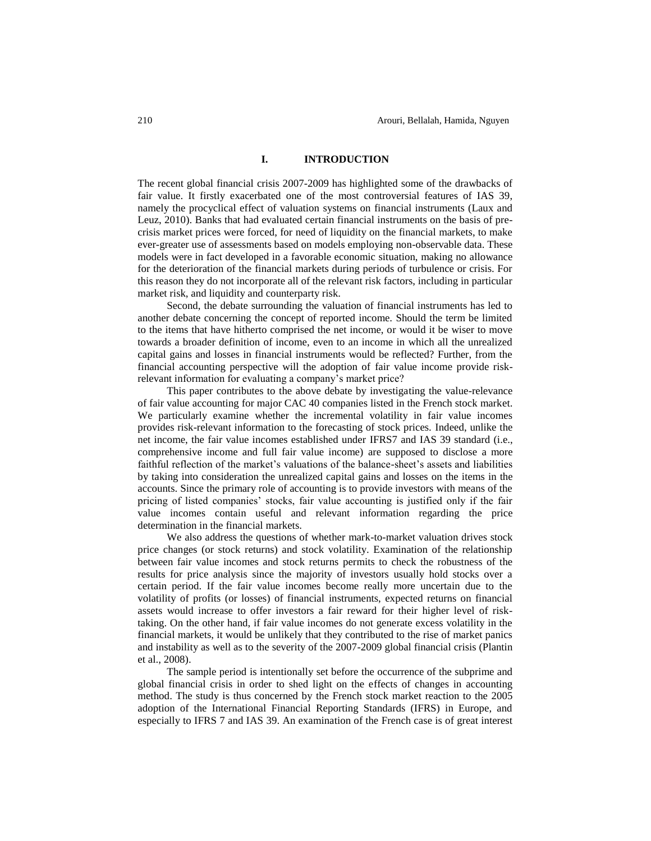#### **I. INTRODUCTION**

The recent global financial crisis 2007-2009 has highlighted some of the drawbacks of fair value. It firstly exacerbated one of the most controversial features of IAS 39, namely the procyclical effect of valuation systems on financial instruments (Laux and Leuz, 2010). Banks that had evaluated certain financial instruments on the basis of precrisis market prices were forced, for need of liquidity on the financial markets, to make ever-greater use of assessments based on models employing non-observable data. These models were in fact developed in a favorable economic situation, making no allowance for the deterioration of the financial markets during periods of turbulence or crisis. For this reason they do not incorporate all of the relevant risk factors, including in particular market risk, and liquidity and counterparty risk.

Second, the debate surrounding the valuation of financial instruments has led to another debate concerning the concept of reported income. Should the term be limited to the items that have hitherto comprised the net income, or would it be wiser to move towards a broader definition of income, even to an income in which all the unrealized capital gains and losses in financial instruments would be reflected? Further, from the financial accounting perspective will the adoption of fair value income provide riskrelevant information for evaluating a company's market price?

This paper contributes to the above debate by investigating the value-relevance of fair value accounting for major CAC 40 companies listed in the French stock market. We particularly examine whether the incremental volatility in fair value incomes provides risk-relevant information to the forecasting of stock prices. Indeed, unlike the net income, the fair value incomes established under IFRS7 and IAS 39 standard (i.e., comprehensive income and full fair value income) are supposed to disclose a more faithful reflection of the market's valuations of the balance-sheet's assets and liabilities by taking into consideration the unrealized capital gains and losses on the items in the accounts. Since the primary role of accounting is to provide investors with means of the pricing of listed companies' stocks, fair value accounting is justified only if the fair value incomes contain useful and relevant information regarding the price determination in the financial markets.

We also address the questions of whether mark-to-market valuation drives stock price changes (or stock returns) and stock volatility. Examination of the relationship between fair value incomes and stock returns permits to check the robustness of the results for price analysis since the majority of investors usually hold stocks over a certain period. If the fair value incomes become really more uncertain due to the volatility of profits (or losses) of financial instruments, expected returns on financial assets would increase to offer investors a fair reward for their higher level of risktaking. On the other hand, if fair value incomes do not generate excess volatility in the financial markets, it would be unlikely that they contributed to the rise of market panics and instability as well as to the severity of the 2007-2009 global financial crisis (Plantin et al., 2008).

The sample period is intentionally set before the occurrence of the subprime and global financial crisis in order to shed light on the effects of changes in accounting method. The study is thus concerned by the French stock market reaction to the 2005 adoption of the International Financial Reporting Standards (IFRS) in Europe, and especially to IFRS 7 and IAS 39. An examination of the French case is of great interest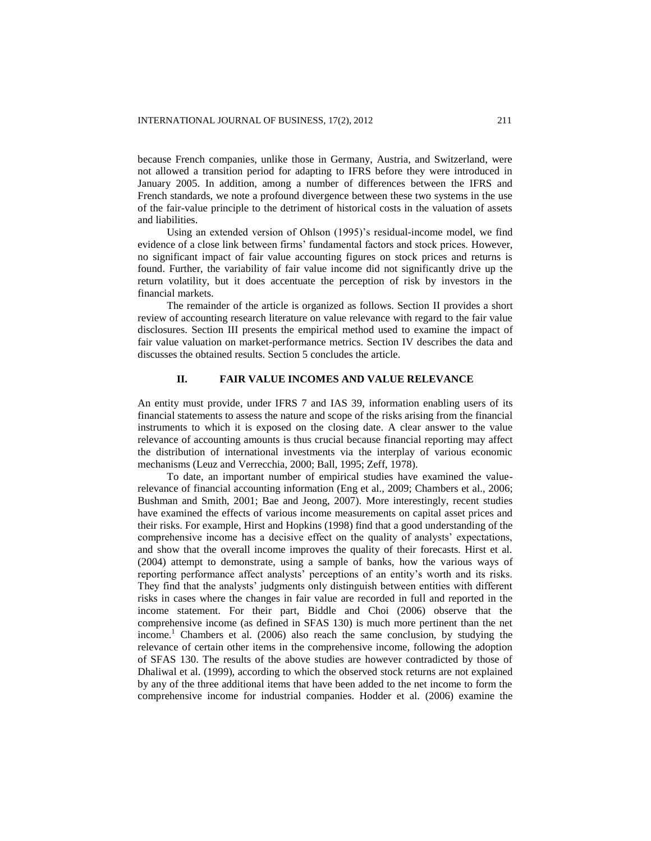because French companies, unlike those in Germany, Austria, and Switzerland, were not allowed a transition period for adapting to IFRS before they were introduced in January 2005. In addition, among a number of differences between the IFRS and French standards, we note a profound divergence between these two systems in the use of the fair-value principle to the detriment of historical costs in the valuation of assets and liabilities.

Using an extended version of Ohlson (1995)'s residual-income model, we find evidence of a close link between firms' fundamental factors and stock prices. However, no significant impact of fair value accounting figures on stock prices and returns is found. Further, the variability of fair value income did not significantly drive up the return volatility, but it does accentuate the perception of risk by investors in the financial markets.

The remainder of the article is organized as follows. Section II provides a short review of accounting research literature on value relevance with regard to the fair value disclosures. Section III presents the empirical method used to examine the impact of fair value valuation on market-performance metrics. Section IV describes the data and discusses the obtained results. Section 5 concludes the article.

# **II. FAIR VALUE INCOMES AND VALUE RELEVANCE**

An entity must provide, under IFRS 7 and IAS 39, information enabling users of its financial statements to assess the nature and scope of the risks arising from the financial instruments to which it is exposed on the closing date. A clear answer to the value relevance of accounting amounts is thus crucial because financial reporting may affect the distribution of international investments via the interplay of various economic mechanisms (Leuz and Verrecchia, 2000; Ball, 1995; Zeff, 1978).

To date, an important number of empirical studies have examined the valuerelevance of financial accounting information (Eng et al., 2009; Chambers et al., 2006; Bushman and Smith, 2001; Bae and Jeong, 2007). More interestingly, recent studies have examined the effects of various income measurements on capital asset prices and their risks. For example, Hirst and Hopkins (1998) find that a good understanding of the comprehensive income has a decisive effect on the quality of analysts' expectations, and show that the overall income improves the quality of their forecasts. Hirst et al. (2004) attempt to demonstrate, using a sample of banks, how the various ways of reporting performance affect analysts' perceptions of an entity's worth and its risks. They find that the analysts' judgments only distinguish between entities with different risks in cases where the changes in fair value are recorded in full and reported in the income statement. For their part, Biddle and Choi (2006) observe that the comprehensive income (as defined in SFAS 130) is much more pertinent than the net income.<sup>1</sup> Chambers et al. (2006) also reach the same conclusion, by studying the relevance of certain other items in the comprehensive income, following the adoption of SFAS 130. The results of the above studies are however contradicted by those of Dhaliwal et al. (1999), according to which the observed stock returns are not explained by any of the three additional items that have been added to the net income to form the comprehensive income for industrial companies. Hodder et al. (2006) examine the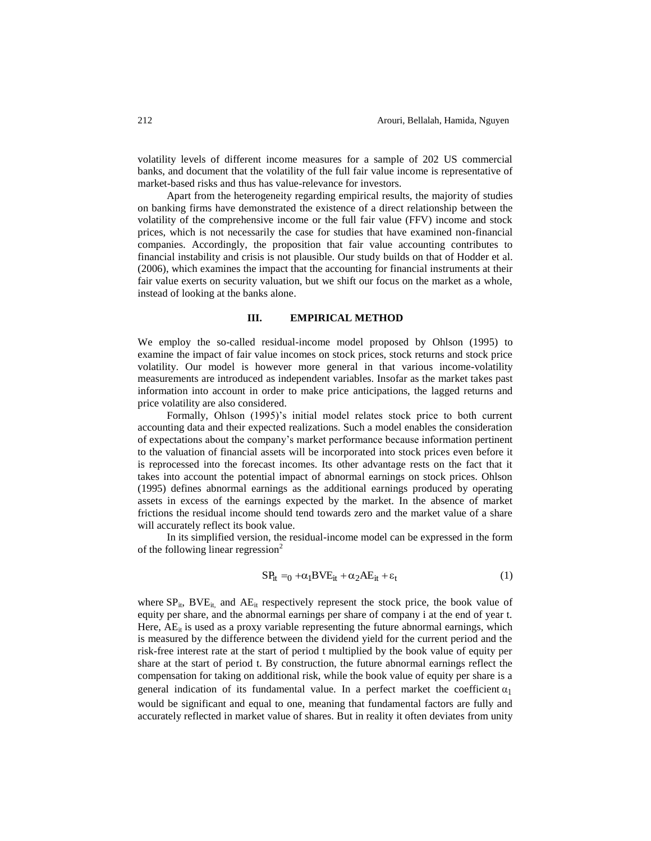volatility levels of different income measures for a sample of 202 US commercial banks, and document that the volatility of the full fair value income is representative of market-based risks and thus has value-relevance for investors.

Apart from the heterogeneity regarding empirical results, the majority of studies on banking firms have demonstrated the existence of a direct relationship between the volatility of the comprehensive income or the full fair value (FFV) income and stock prices, which is not necessarily the case for studies that have examined non-financial companies. Accordingly, the proposition that fair value accounting contributes to financial instability and crisis is not plausible. Our study builds on that of Hodder et al. (2006), which examines the impact that the accounting for financial instruments at their fair value exerts on security valuation, but we shift our focus on the market as a whole, instead of looking at the banks alone.

#### **III. EMPIRICAL METHOD**

We employ the so-called residual-income model proposed by Ohlson (1995) to examine the impact of fair value incomes on stock prices, stock returns and stock price volatility. Our model is however more general in that various income-volatility measurements are introduced as independent variables. Insofar as the market takes past information into account in order to make price anticipations, the lagged returns and price volatility are also considered.

Formally, Ohlson (1995)'s initial model relates stock price to both current accounting data and their expected realizations. Such a model enables the consideration of expectations about the company's market performance because information pertinent to the valuation of financial assets will be incorporated into stock prices even before it is reprocessed into the forecast incomes. Its other advantage rests on the fact that it takes into account the potential impact of abnormal earnings on stock prices. Ohlson (1995) defines abnormal earnings as the additional earnings produced by operating assets in excess of the earnings expected by the market. In the absence of market frictions the residual income should tend towards zero and the market value of a share will accurately reflect its book value.

In its simplified version, the residual-income model can be expressed in the form of the following linear regression $2$ 

$$
SP_{it} = {}_{0} + \alpha_{1} BVE_{it} + \alpha_{2} AE_{it} + \varepsilon_{t}
$$
 (1)

where  $SP_{it}$ ,  $BVE_{it}$ , and  $AE_{it}$  respectively represent the stock price, the book value of equity per share, and the abnormal earnings per share of company i at the end of year t. Here,  $AE_{it}$  is used as a proxy variable representing the future abnormal earnings, which is measured by the difference between the dividend yield for the current period and the risk-free interest rate at the start of period t multiplied by the book value of equity per share at the start of period t. By construction, the future abnormal earnings reflect the compensation for taking on additional risk, while the book value of equity per share is a general indication of its fundamental value. In a perfect market the coefficient  $\alpha_1$ would be significant and equal to one, meaning that fundamental factors are fully and accurately reflected in market value of shares. But in reality it often deviates from unity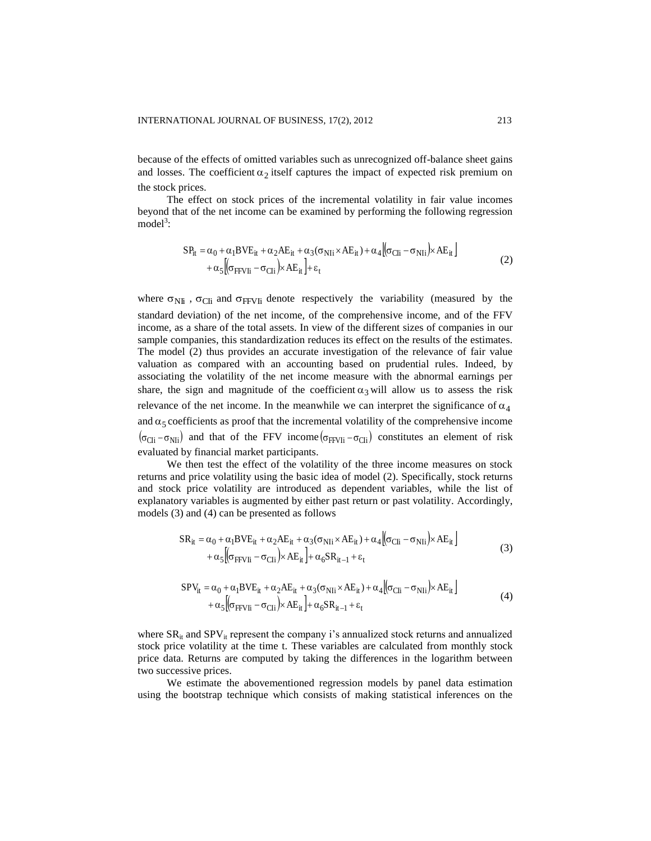because of the effects of omitted variables such as unrecognized off-balance sheet gains and losses. The coefficient  $\alpha_2$  itself captures the impact of expected risk premium on the stock prices.

The effect on stock prices of the incremental volatility in fair value incomes beyond that of the net income can be examined by performing the following regression  $model^3$ :

$$
SP_{it} = \alpha_0 + \alpha_1 BVE_{it} + \alpha_2 AE_{it} + \alpha_3(\sigma_{N1i} \times AE_{it}) + \alpha_4 [\sigma_{C1i} - \sigma_{N1i}] \times AE_{it}] + \alpha_5 [\sigma_{FfVIi} - \sigma_{C1i}] \times AE_{it}] + \varepsilon_t
$$
\n(2)

where  $\sigma_{\text{NH}}$ ,  $\sigma_{\text{CH}}$  and  $\sigma_{\text{FFV}}$  denote respectively the variability (measured by the standard deviation) of the net income, of the comprehensive income, and of the FFV income, as a share of the total assets. In view of the different sizes of companies in our sample companies, this standardization reduces its effect on the results of the estimates. The model (2) thus provides an accurate investigation of the relevance of fair value valuation as compared with an accounting based on prudential rules. Indeed, by associating the volatility of the net income measure with the abnormal earnings per share, the sign and magnitude of the coefficient  $\alpha_3$  will allow us to assess the risk relevance of the net income. In the meanwhile we can interpret the significance of  $\alpha_4$ and  $\alpha_5$  coefficients as proof that the incremental volatility of the comprehensive income  $(\sigma_{\text{Cli}} - \sigma_{\text{Nli}})$  and that of the FFV income  $(\sigma_{\text{FFVli}} - \sigma_{\text{Cli}})$  constitutes an element of risk evaluated by financial market participants.

We then test the effect of the volatility of the three income measures on stock returns and price volatility using the basic idea of model (2). Specifically, stock returns and stock price volatility are introduced as dependent variables, while the list of explanatory variables is augmented by either past return or past volatility. Accordingly, models (3) and (4) can be presented as follows

$$
SR_{it} = \alpha_0 + \alpha_1 BVE_{it} + \alpha_2 AE_{it} + \alpha_3 (\sigma_{N1i} \times AE_{it}) + \alpha_4 [\sigma_{C1i} - \sigma_{N1i}] \times AE_{it}] + \alpha_5 [(\sigma_{FFVIi} - \sigma_{C1i}) \times AE_{it}] + \alpha_6 SR_{it-1} + \epsilon_t
$$
\n(3)

 $\mathbf{u} = \mathbf{v}$ 

$$
SPV_{it} = \alpha_0 + \alpha_1 BVE_{it} + \alpha_2 AE_{it} + \alpha_3(\sigma_{\text{N}li} \times AE_{it}) + \alpha_4 [(\sigma_{\text{Cl}i} - \sigma_{\text{N}li}) \times AE_{it}] + \alpha_5 [(\sigma_{\text{FFV}li} - \sigma_{\text{Cl}i}) \times AE_{it}] + \alpha_6 SR_{it-1} + \epsilon_t
$$
\n(4)

where  $SR_{it}$  and  $SPV_{it}$  represent the company i's annualized stock returns and annualized stock price volatility at the time t. These variables are calculated from monthly stock price data. Returns are computed by taking the differences in the logarithm between two successive prices.

We estimate the abovementioned regression models by panel data estimation using the bootstrap technique which consists of making statistical inferences on the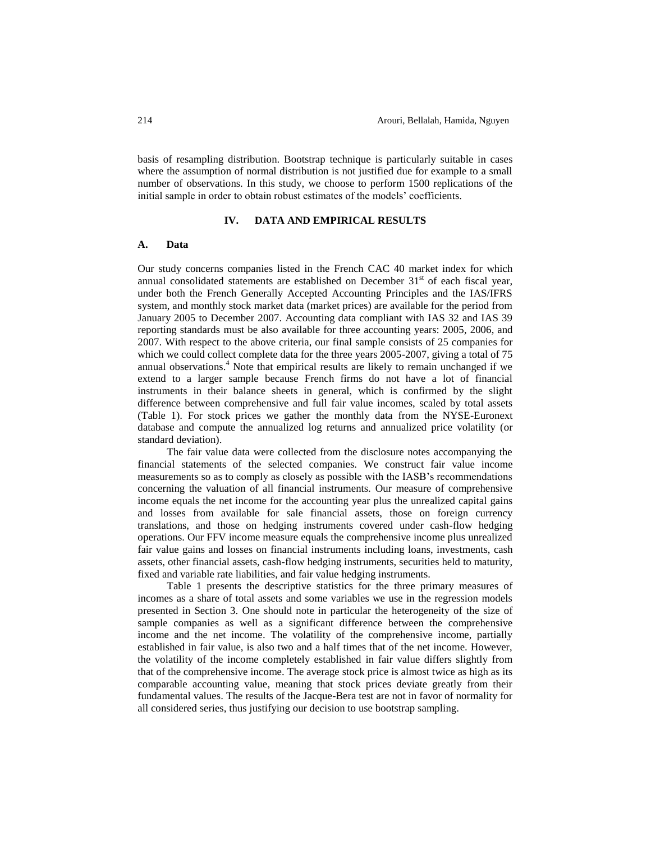basis of resampling distribution. Bootstrap technique is particularly suitable in cases where the assumption of normal distribution is not justified due for example to a small number of observations. In this study, we choose to perform 1500 replications of the initial sample in order to obtain robust estimates of the models' coefficients.

#### **IV. DATA AND EMPIRICAL RESULTS**

#### **A. Data**

Our study concerns companies listed in the French CAC 40 market index for which annual consolidated statements are established on December  $31<sup>st</sup>$  of each fiscal year, under both the French Generally Accepted Accounting Principles and the IAS/IFRS system, and monthly stock market data (market prices) are available for the period from January 2005 to December 2007. Accounting data compliant with IAS 32 and IAS 39 reporting standards must be also available for three accounting years: 2005, 2006, and 2007. With respect to the above criteria, our final sample consists of 25 companies for which we could collect complete data for the three years 2005-2007, giving a total of 75 annual observations. <sup>4</sup> Note that empirical results are likely to remain unchanged if we extend to a larger sample because French firms do not have a lot of financial instruments in their balance sheets in general, which is confirmed by the slight difference between comprehensive and full fair value incomes, scaled by total assets (Table 1). For stock prices we gather the monthly data from the NYSE-Euronext database and compute the annualized log returns and annualized price volatility (or standard deviation).

The fair value data were collected from the disclosure notes accompanying the financial statements of the selected companies. We construct fair value income measurements so as to comply as closely as possible with the IASB's recommendations concerning the valuation of all financial instruments. Our measure of comprehensive income equals the net income for the accounting year plus the unrealized capital gains and losses from available for sale financial assets, those on foreign currency translations, and those on hedging instruments covered under cash-flow hedging operations. Our FFV income measure equals the comprehensive income plus unrealized fair value gains and losses on financial instruments including loans, investments, cash assets, other financial assets, cash-flow hedging instruments, securities held to maturity, fixed and variable rate liabilities, and fair value hedging instruments.

Table 1 presents the descriptive statistics for the three primary measures of incomes as a share of total assets and some variables we use in the regression models presented in Section 3. One should note in particular the heterogeneity of the size of sample companies as well as a significant difference between the comprehensive income and the net income. The volatility of the comprehensive income, partially established in fair value, is also two and a half times that of the net income. However, the volatility of the income completely established in fair value differs slightly from that of the comprehensive income. The average stock price is almost twice as high as its comparable accounting value, meaning that stock prices deviate greatly from their fundamental values. The results of the Jacque-Bera test are not in favor of normality for all considered series, thus justifying our decision to use bootstrap sampling.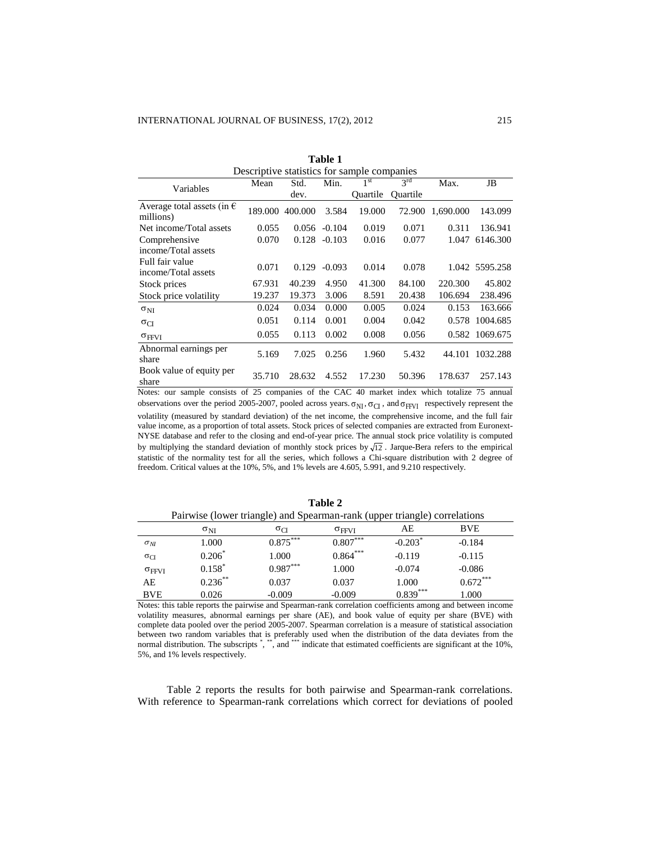| Table 1                                          |         |         |          |                 |              |           |                |
|--------------------------------------------------|---------|---------|----------|-----------------|--------------|-----------|----------------|
| Descriptive statistics for sample companies      |         |         |          |                 |              |           |                |
| Variables                                        | Mean    | Std.    | Min.     | 1 <sup>st</sup> | $3^{\rm rd}$ | Max.      | JB             |
|                                                  |         | dev.    |          | <b>Ouartile</b> | Ouartile     |           |                |
| Average total assets (in $\epsilon$<br>millions) | 189.000 | 400.000 | 3.584    | 19.000          | 72.900       | 1,690.000 | 143.099        |
| Net income/Total assets                          | 0.055   | 0.056   | $-0.104$ | 0.019           | 0.071        | 0.311     | 136.941        |
| Comprehensive                                    | 0.070   | 0.128   | $-0.103$ | 0.016           | 0.077        | 1.047     | 6146.300       |
| income/Total assets                              |         |         |          |                 |              |           |                |
| Full fair value                                  | 0.071   | 0.129   | $-0.093$ | 0.014           | 0.078        |           | 1.042 5595.258 |
| income/Total assets                              |         |         |          |                 |              |           |                |
| Stock prices                                     | 67.931  | 40.239  | 4.950    | 41.300          | 84.100       | 220.300   | 45.802         |
| Stock price volatility                           | 19.237  | 19.373  | 3.006    | 8.591           | 20.438       | 106.694   | 238.496        |
| $\sigma_{NI}$                                    | 0.024   | 0.034   | 0.000    | 0.005           | 0.024        | 0.153     | 163.666        |
| $\sigma_{CI}$                                    | 0.051   | 0.114   | 0.001    | 0.004           | 0.042        | 0.578     | 1004.685       |
| $\sigma$ FFVI                                    | 0.055   | 0.113   | 0.002    | 0.008           | 0.056        | 0.582     | 1069.675       |
| Abnormal earnings per<br>share                   | 5.169   | 7.025   | 0.256    | 1.960           | 5.432        | 44.101    | 1032.288       |
| Book value of equity per<br>share                | 35.710  | 28.632  | 4.552    | 17.230          | 50.396       | 178.637   | 257.143        |

Notes: our sample consists of 25 companies of the CAC 40 market index which totalize 75 annual observations over the period 2005-2007, pooled across years.  $\sigma_{NI}$ ,  $\sigma_{CI}$ , and  $\sigma_{FFVI}$  respectively represent the volatility (measured by standard deviation) of the net income, the comprehensive income, and the full fair value income, as a proportion of total assets. Stock prices of selected companies are extracted from Euronext-NYSE database and refer to the closing and end-of-year price. The annual stock price volatility is computed by multiplying the standard deviation of monthly stock prices by  $\sqrt{12}$ . Jarque-Bera refers to the empirical statistic of the normality test for all the series, which follows a Chi-square distribution with 2 degree of freedom. Critical values at the 10%, 5%, and 1% levels are 4.605, 5.991, and 9.210 respectively.

| Table 2                                                                   |               |               |                     |                       |            |  |
|---------------------------------------------------------------------------|---------------|---------------|---------------------|-----------------------|------------|--|
| Pairwise (lower triangle) and Spearman-rank (upper triangle) correlations |               |               |                     |                       |            |  |
|                                                                           | $\sigma_{NI}$ | $\sigma_{CI}$ | $\sigma_{\rm FFVI}$ | AE                    | <b>BVE</b> |  |
| $\sigma_{NI}$                                                             | 1.000         | $0.875***$    | $0.807***$          | $-0.203$ <sup>*</sup> | $-0.184$   |  |
| $\sigma_{CI}$                                                             | $0.206*$      | 1.000         | $0.864***$          | $-0.119$              | $-0.115$   |  |
| $\sigma$ FFVI                                                             | $0.158*$      | $0.987***$    | 1.000               | $-0.074$              | $-0.086$   |  |
| AE                                                                        | $0.236***$    | 0.037         | 0.037               | 1.000                 | $0.672***$ |  |
| <b>BVE</b>                                                                | 0.026         | $-0.009$      | $-0.009$            | $0.839***$            | 1.000      |  |

BVE 0.026 -0.009 -0.009 0.839<sup>\*\*\*</sup> 1.000 Notes: this table reports the pairwise and Spearman-rank correlation coefficients among and between income volatility measures, abnormal earnings per share (AE), and book value of equity per share (BVE) with complete data pooled over the period 2005-2007. Spearman correlation is a measure of statistical association between two random variables that is preferably used when the distribution of the data deviates from the normal distribution. The subscripts ", "", and """ indicate that estimated coefficients are significant at the 10%,

5%, and 1% levels respectively.

Table 2 reports the results for both pairwise and Spearman-rank correlations. With reference to Spearman-rank correlations which correct for deviations of pooled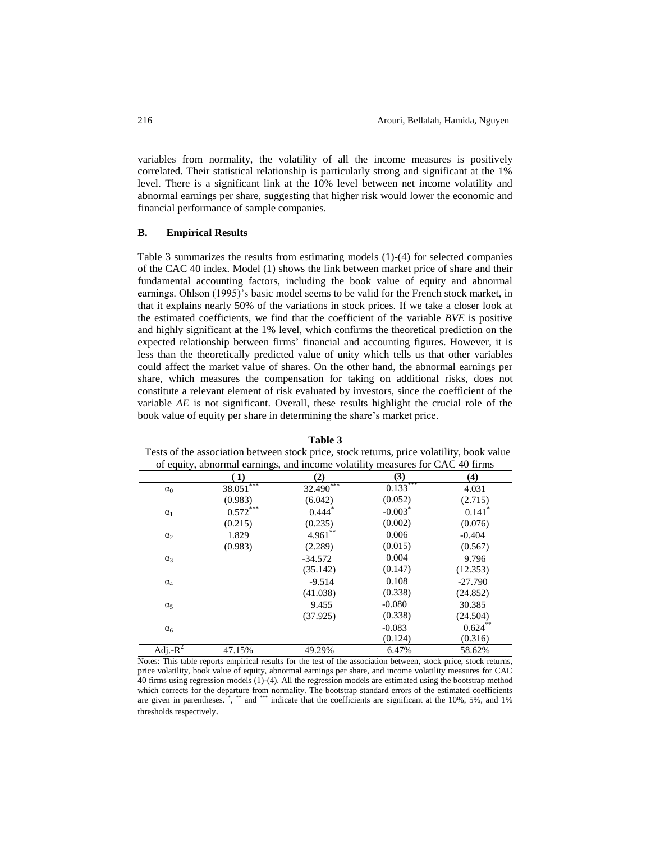variables from normality, the volatility of all the income measures is positively correlated. Their statistical relationship is particularly strong and significant at the 1% level. There is a significant link at the 10% level between net income volatility and abnormal earnings per share, suggesting that higher risk would lower the economic and financial performance of sample companies.

# **B. Empirical Results**

Table 3 summarizes the results from estimating models (1)-(4) for selected companies of the CAC 40 index. Model (1) shows the link between market price of share and their fundamental accounting factors, including the book value of equity and abnormal earnings. Ohlson (1995)'s basic model seems to be valid for the French stock market, in that it explains nearly 50% of the variations in stock prices. If we take a closer look at the estimated coefficients, we find that the coefficient of the variable *BVE* is positive and highly significant at the 1% level, which confirms the theoretical prediction on the expected relationship between firms' financial and accounting figures. However, it is less than the theoretically predicted value of unity which tells us that other variables could affect the market value of shares. On the other hand, the abnormal earnings per share, which measures the compensation for taking on additional risks, does not constitute a relevant element of risk evaluated by investors, since the coefficient of the variable *AE* is not significant. Overall, these results highlight the crucial role of the book value of equity per share in determining the share's market price.

|             |             | of equity, abnormal earnings, and income volatility measures for CAC 40 firms |            |                      |
|-------------|-------------|-------------------------------------------------------------------------------|------------|----------------------|
|             | 1)          | (2)                                                                           | (3)        | (4)                  |
| $\alpha_0$  | $38.051***$ | $32.490***$                                                                   | $0.133***$ | 4.031                |
|             | (0.983)     | (6.042)                                                                       | (0.052)    | (2.715)              |
| $\alpha_1$  | $0.572***$  | $0.444$ <sup>*</sup>                                                          | $-0.003$ * | $0.141$ <sup>*</sup> |
|             | (0.215)     | (0.235)                                                                       | (0.002)    | (0.076)              |
| $\alpha_2$  | 1.829       | $4.961***$                                                                    | 0.006      | $-0.404$             |
|             | (0.983)     | (2.289)                                                                       | (0.015)    | (0.567)              |
| $\alpha_3$  |             | $-34.572$                                                                     | 0.004      | 9.796                |
|             |             | (35.142)                                                                      | (0.147)    | (12.353)             |
| $\alpha_4$  |             | $-9.514$                                                                      | 0.108      | $-27.790$            |
|             |             | (41.038)                                                                      | (0.338)    | (24.852)             |
| $\alpha_5$  |             | 9.455                                                                         | $-0.080$   | 30.385               |
|             |             | (37.925)                                                                      | (0.338)    | (24.504)             |
| $\alpha_6$  |             |                                                                               | $-0.083$   | $0.624***$           |
|             |             |                                                                               | (0.124)    | (0.316)              |
| Adj.- $R^2$ | 47.15%      | 49.29%                                                                        | 6.47%      | 58.62%               |

**Table 3** Tests of the association between stock price, stock returns, price volatility, book value

Notes: This table reports empirical results for the test of the association between, stock price, stock returns, price volatility, book value of equity, abnormal earnings per share, and income volatility measures for CAC 40 firms using regression models (1)-(4). All the regression models are estimated using the bootstrap method which corrects for the departure from normality. The bootstrap standard errors of the estimated coefficients are given in parentheses. \*, \*\*\* and \*\*\*\* indicate that the coefficients are significant at the 10%, 5%, and 1% thresholds respectively.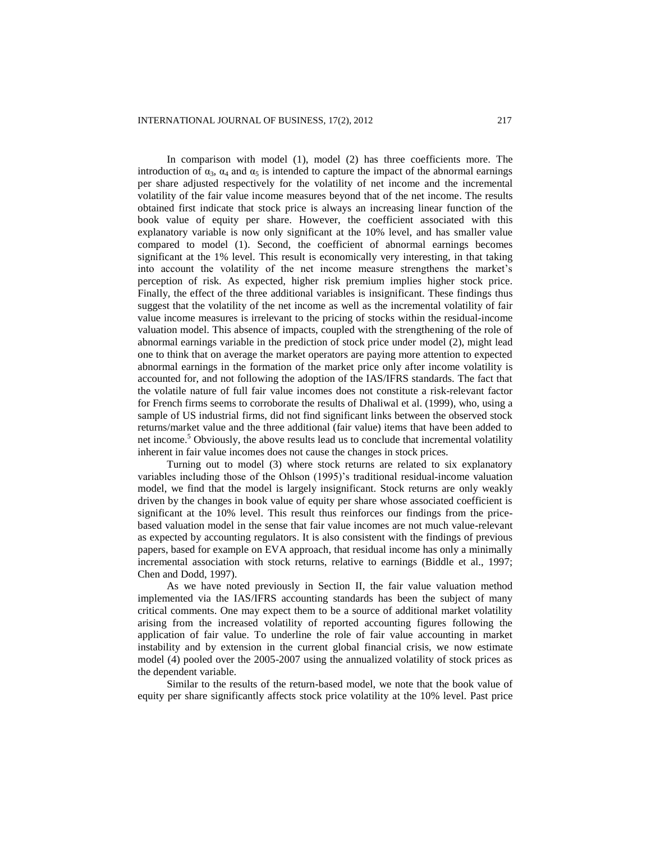In comparison with model (1), model (2) has three coefficients more. The introduction of  $\alpha_3$ ,  $\alpha_4$  and  $\alpha_5$  is intended to capture the impact of the abnormal earnings per share adjusted respectively for the volatility of net income and the incremental volatility of the fair value income measures beyond that of the net income. The results obtained first indicate that stock price is always an increasing linear function of the book value of equity per share. However, the coefficient associated with this explanatory variable is now only significant at the 10% level, and has smaller value compared to model (1). Second, the coefficient of abnormal earnings becomes significant at the 1% level. This result is economically very interesting, in that taking into account the volatility of the net income measure strengthens the market's perception of risk. As expected, higher risk premium implies higher stock price. Finally, the effect of the three additional variables is insignificant. These findings thus suggest that the volatility of the net income as well as the incremental volatility of fair value income measures is irrelevant to the pricing of stocks within the residual-income valuation model. This absence of impacts, coupled with the strengthening of the role of abnormal earnings variable in the prediction of stock price under model (2), might lead one to think that on average the market operators are paying more attention to expected abnormal earnings in the formation of the market price only after income volatility is accounted for, and not following the adoption of the IAS/IFRS standards. The fact that the volatile nature of full fair value incomes does not constitute a risk-relevant factor for French firms seems to corroborate the results of Dhaliwal et al. (1999), who, using a sample of US industrial firms, did not find significant links between the observed stock returns/market value and the three additional (fair value) items that have been added to net income.<sup>5</sup> Obviously, the above results lead us to conclude that incremental volatility inherent in fair value incomes does not cause the changes in stock prices.

Turning out to model (3) where stock returns are related to six explanatory variables including those of the Ohlson (1995)'s traditional residual-income valuation model, we find that the model is largely insignificant. Stock returns are only weakly driven by the changes in book value of equity per share whose associated coefficient is significant at the 10% level. This result thus reinforces our findings from the pricebased valuation model in the sense that fair value incomes are not much value-relevant as expected by accounting regulators. It is also consistent with the findings of previous papers, based for example on EVA approach, that residual income has only a minimally incremental association with stock returns, relative to earnings (Biddle et al., 1997; Chen and Dodd, 1997).

As we have noted previously in Section II, the fair value valuation method implemented via the IAS/IFRS accounting standards has been the subject of many critical comments. One may expect them to be a source of additional market volatility arising from the increased volatility of reported accounting figures following the application of fair value. To underline the role of fair value accounting in market instability and by extension in the current global financial crisis, we now estimate model (4) pooled over the 2005-2007 using the annualized volatility of stock prices as the dependent variable.

Similar to the results of the return-based model, we note that the book value of equity per share significantly affects stock price volatility at the 10% level. Past price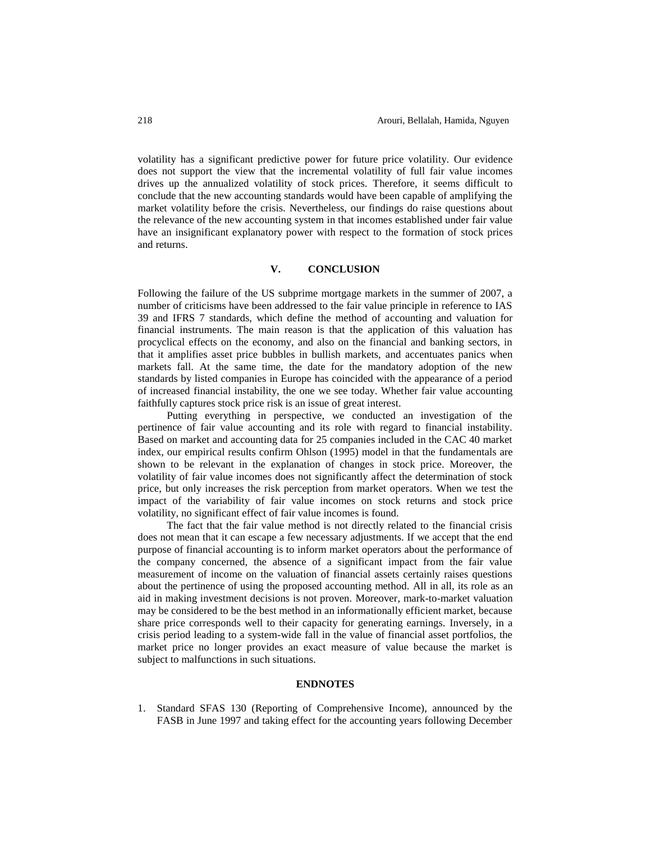volatility has a significant predictive power for future price volatility. Our evidence does not support the view that the incremental volatility of full fair value incomes drives up the annualized volatility of stock prices. Therefore, it seems difficult to conclude that the new accounting standards would have been capable of amplifying the market volatility before the crisis. Nevertheless, our findings do raise questions about the relevance of the new accounting system in that incomes established under fair value have an insignificant explanatory power with respect to the formation of stock prices and returns.

# **V. CONCLUSION**

Following the failure of the US subprime mortgage markets in the summer of 2007, a number of criticisms have been addressed to the fair value principle in reference to IAS 39 and IFRS 7 standards, which define the method of accounting and valuation for financial instruments. The main reason is that the application of this valuation has procyclical effects on the economy, and also on the financial and banking sectors, in that it amplifies asset price bubbles in bullish markets, and accentuates panics when markets fall. At the same time, the date for the mandatory adoption of the new standards by listed companies in Europe has coincided with the appearance of a period of increased financial instability, the one we see today. Whether fair value accounting faithfully captures stock price risk is an issue of great interest.

Putting everything in perspective, we conducted an investigation of the pertinence of fair value accounting and its role with regard to financial instability. Based on market and accounting data for 25 companies included in the CAC 40 market index, our empirical results confirm Ohlson (1995) model in that the fundamentals are shown to be relevant in the explanation of changes in stock price. Moreover, the volatility of fair value incomes does not significantly affect the determination of stock price, but only increases the risk perception from market operators. When we test the impact of the variability of fair value incomes on stock returns and stock price volatility, no significant effect of fair value incomes is found.

The fact that the fair value method is not directly related to the financial crisis does not mean that it can escape a few necessary adjustments. If we accept that the end purpose of financial accounting is to inform market operators about the performance of the company concerned, the absence of a significant impact from the fair value measurement of income on the valuation of financial assets certainly raises questions about the pertinence of using the proposed accounting method. All in all, its role as an aid in making investment decisions is not proven. Moreover, mark-to-market valuation may be considered to be the best method in an informationally efficient market, because share price corresponds well to their capacity for generating earnings. Inversely, in a crisis period leading to a system-wide fall in the value of financial asset portfolios, the market price no longer provides an exact measure of value because the market is subject to malfunctions in such situations.

#### **ENDNOTES**

1. Standard SFAS 130 (Reporting of Comprehensive Income), announced by the FASB in June 1997 and taking effect for the accounting years following December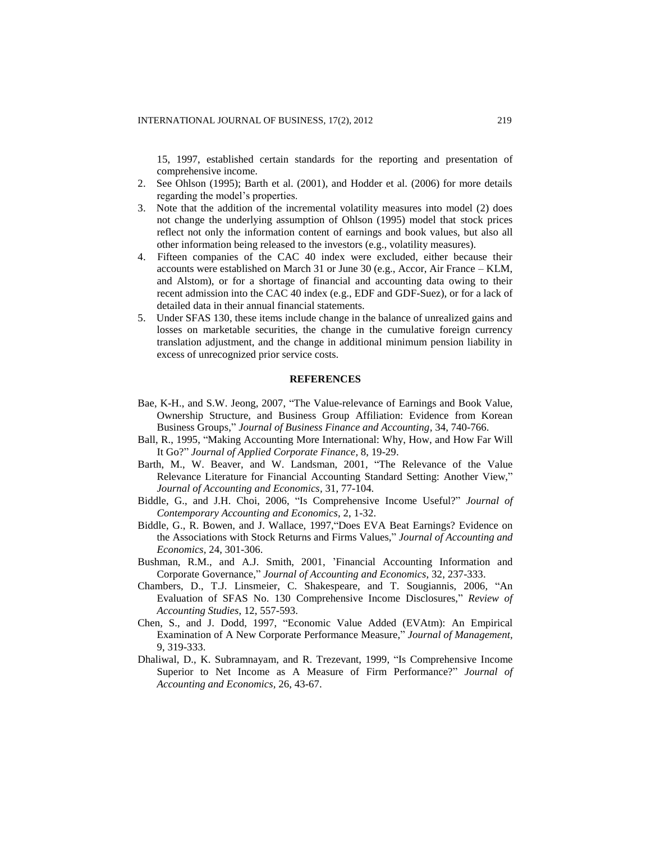15, 1997, established certain standards for the reporting and presentation of comprehensive income.

- 2. See Ohlson (1995); Barth et al. (2001), and Hodder et al. (2006) for more details regarding the model's properties.
- 3. Note that the addition of the incremental volatility measures into model (2) does not change the underlying assumption of Ohlson (1995) model that stock prices reflect not only the information content of earnings and book values, but also all other information being released to the investors (e.g., volatility measures).
- 4. Fifteen companies of the CAC 40 index were excluded, either because their accounts were established on March 31 or June 30 (e.g., Accor, Air France – KLM, and Alstom), or for a shortage of financial and accounting data owing to their recent admission into the CAC 40 index (e.g., EDF and GDF-Suez), or for a lack of detailed data in their annual financial statements.
- 5. Under SFAS 130, these items include change in the balance of unrealized gains and losses on marketable securities, the change in the cumulative foreign currency translation adjustment, and the change in additional minimum pension liability in excess of unrecognized prior service costs.

### **REFERENCES**

- Bae, K-H., and S.W. Jeong, 2007, "The Value-relevance of Earnings and Book Value, Ownership Structure, and Business Group Affiliation: Evidence from Korean Business Groups," *Journal of Business Finance and Accounting,* 34, 740-766.
- Ball, R., 1995, "Making Accounting More International: Why, How, and How Far Will It Go?" *Journal of Applied Corporate Finance,* 8, 19-29.
- Barth, M., W. Beaver, and W. Landsman, 2001, "The Relevance of the Value Relevance Literature for Financial Accounting Standard Setting: Another View," *Journal of Accounting and Economics,* 31, 77-104.
- Biddle, G., and J.H. Choi, 2006, "Is Comprehensive Income Useful?" *Journal of Contemporary Accounting and Economics,* 2, 1-32.
- Biddle, G., R. Bowen, and J. Wallace, 1997,"Does EVA Beat Earnings? Evidence on the Associations with Stock Returns and Firms Values," *Journal of Accounting and Economics,* 24, 301-306.
- Bushman, R.M., and A.J. Smith, 2001, 'Financial Accounting Information and Corporate Governance," *Journal of Accounting and Economics*, 32, 237-333.
- Chambers, D., T.J. Linsmeier, C. Shakespeare, and T. Sougiannis, 2006, "An Evaluation of SFAS No. 130 Comprehensive Income Disclosures," *Review of Accounting Studies*, 12, 557-593.
- Chen, S., and J. Dodd, 1997, "Economic Value Added (EVAtm): An Empirical Examination of A New Corporate Performance Measure," *Journal of Management,* 9, 319-333.
- Dhaliwal, D., K. Subramnayam, and R. Trezevant, 1999, "Is Comprehensive Income Superior to Net Income as A Measure of Firm Performance?" *Journal of Accounting and Economics,* 26, 43-67.